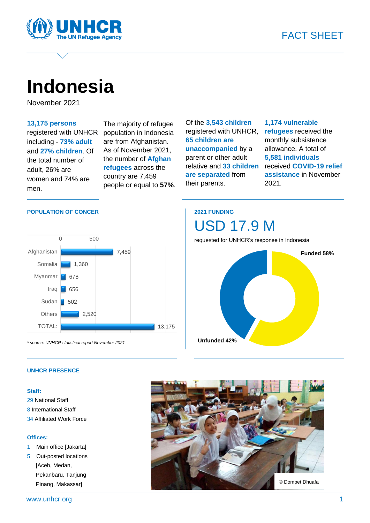

# **Indonesia**

November 2021

#### **13,175 persons**

registered with UNHCR including - **73% adult** and **27% children**. Of the total number of adult, 26% are women and 74% are men.

The majority of refugee population in Indonesia are from Afghanistan. As of November 2021, the number of **Afghan refugees** across the country are 7,459 people or equal to **57%**. Of the **3,543 children** registered with UNHCR, **65 children are unaccompanied** by a parent or other adult relative and **33 children are separated** from their parents.

#### **1,174 vulnerable refugees** received the monthly subsistence allowance. A total of **5,581 individuals** received **COVID-19 relief assistance** in November 2021.

#### **POPULATION OF CONCER**



*\* source: UNHCR statistical report November 2021*

### **2021 FUNDING**



#### **UNHCR PRESENCE**

#### **Staff:**

29 National Staff 8 International Staff 34 Affiliated Work Force

#### **Offices:**

- 1 Main office [Jakarta]
- 5 Out-posted locations [Aceh, Medan, Pekanbaru, Tanjung Pinang, Makassar]

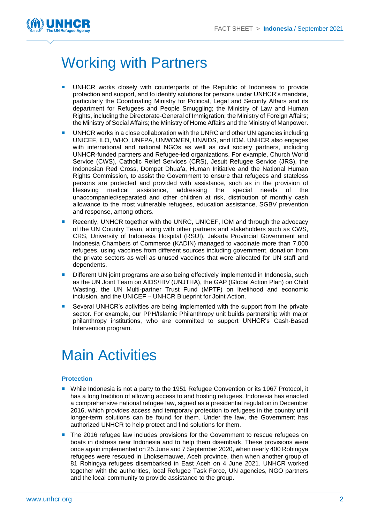

## Working with Partners

- UNHCR works closely with counterparts of the Republic of Indonesia to provide protection and support, and to identify solutions for persons under UNHCR's mandate, particularly the Coordinating Ministry for Political, Legal and Security Affairs and its department for Refugees and People Smuggling; the Ministry of Law and Human Rights, including the Directorate-General of Immigration; the Ministry of Foreign Affairs; the Ministry of Social Affairs; the Ministry of Home Affairs and the Ministry of Manpower.
- UNHCR works in a close collaboration with the UNRC and other UN agencies including UNICEF, ILO, WHO, UNFPA, UNWOMEN, UNAIDS, and IOM. UNHCR also engages with international and national NGOs as well as civil society partners, including UNHCR-funded partners and Refugee-led organizations. For example, Church World Service (CWS), Catholic Relief Services (CRS), Jesuit Refugee Service (JRS), the Indonesian Red Cross, Dompet Dhuafa, Human Initiative and the National Human Rights Commission, to assist the Government to ensure that refugees and stateless persons are protected and provided with assistance, such as in the provision of lifesaving medical assistance, addressing the special needs of the unaccompanied/separated and other children at risk, distribution of monthly cash allowance to the most vulnerable refugees, education assistance, SGBV prevention and response, among others.
- Recently, UNHCR together with the UNRC, UNICEF, IOM and through the advocacy of the UN Country Team, along with other partners and stakeholders such as CWS, CRS, University of Indonesia Hospital (RSUI), Jakarta Provincial Government and Indonesia Chambers of Commerce (KADIN) managed to vaccinate more than 7,000 refugees, using vaccines from different sources including government, donation from the private sectors as well as unused vaccines that were allocated for UN staff and dependents.
- **Different UN** joint programs are also being effectively implemented in Indonesia, such as the UN Joint Team on AIDS/HIV (UNJTHA), the GAP (Global Action Plan) on Child Wasting, the UN Multi-partner Trust Fund (MPTF) on livelihood and economic inclusion, and the UNICEF – UNHCR Blueprint for Joint Action.
- Several UNHCR's activities are being implemented with the support from the private sector. For example, our PPH/Islamic Philanthropy unit builds partnership with major philanthropy institutions, who are committed to support UNHCR's Cash-Based Intervention program.

### Main Activities

#### **Protection**

- **Nile Indonesia is not a party to the 1951 Refugee Convention or its 1967 Protocol, it** has a long tradition of allowing access to and hosting refugees. Indonesia has enacted a comprehensive national refugee law, signed as a presidential regulation in December 2016, which provides access and temporary protection to refugees in the country until longer-term solutions can be found for them. Under the law, the Government has authorized UNHCR to help protect and find solutions for them.
- **The 2016 refugee law includes provisions for the Government to rescue refugees on** boats in distress near Indonesia and to help them disembark. These provisions were once again implemented on 25 June and 7 September 2020, when nearly 400 Rohingya refugees were rescued in Lhoksemauwe, Aceh province, then when another group of 81 Rohingya refugees disembarked in East Aceh on 4 June 2021. UNHCR worked together with the authorities, local Refugee Task Force, UN agencies, NGO partners and the local community to provide assistance to the group.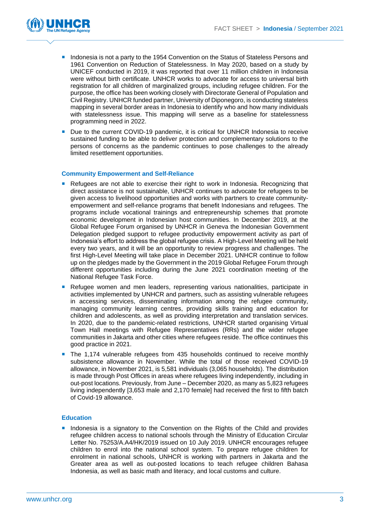

- **Indonesia is not a party to the 1954 Convention on the Status of Stateless Persons and** 1961 Convention on Reduction of Statelessness. In May 2020, based on a study by UNICEF conducted in 2019, it was reported that over 11 million children in Indonesia were without birth certificate. UNHCR works to advocate for access to universal birth registration for all children of marginalized groups, including refugee children. For the purpose, the office has been working closely with Directorate General of Population and Civil Registry. UNHCR funded partner, University of Diponegoro, is conducting stateless mapping in several border areas in Indonesia to identify who and how many individuals with statelessness issue. This mapping will serve as a baseline for statelessness programming need in 2022.
- Due to the current COVID-19 pandemic, it is critical for UNHCR Indonesia to receive sustained funding to be able to deliver protection and complementary solutions to the persons of concerns as the pandemic continues to pose challenges to the already limited resettlement opportunities.

#### **Community Empowerment and Self-Reliance**

- **Refugees are not able to exercise their right to work in Indonesia. Recognizing that** direct assistance is not sustainable, UNHCR continues to advocate for refugees to be given access to livelihood opportunities and works with partners to create communityempowerment and self-reliance programs that benefit Indonesians and refugees. The programs include vocational trainings and entrepreneurship schemes that promote economic development in Indonesian host communities. In December 2019, at the Global Refugee Forum organised by UNHCR in Geneva the Indonesian Government Delegation pledged support to refugee productivity empowerment activity as part of Indonesia's effort to address the global refugee crisis. A High-Level Meeting will be held every two years, and it will be an opportunity to review progress and challenges. The first High-Level Meeting will take place in December 2021. UNHCR continue to follow up on the pledges made by the Government in the 2019 Global Refugee Forum through different opportunities including during the June 2021 coordination meeting of the National Refugee Task Force.
- **Refugee women and men leaders, representing various nationalities, participate in** activities implemented by UNHCR and partners, such as assisting vulnerable refugees in accessing services, disseminating information among the refugee community, managing community learning centres, providing skills training and education for children and adolescents, as well as providing interpretation and translation services. In 2020, due to the pandemic-related restrictions, UNHCR started organising Virtual Town Hall meetings with Refugee Representatives (RRs) and the wider refugee communities in Jakarta and other cities where refugees reside. The office continues this good practice in 2021.
- The 1,174 vulnerable refugees from 435 households continued to receive monthly subsistence allowance in November. While the total of those received COVID-19 allowance, in November 2021, is 5,581 individuals (3,065 households). The distribution is made through Post Offices in areas where refugees living independently, including in out-post locations. Previously, from June – December 2020, as many as 5,823 refugees living independently [3,653 male and 2,170 female] had received the first to fifth batch of Covid-19 allowance.

#### **Education**

**Indonesia is a signatory to the Convention on the Rights of the Child and provides** refugee children access to national schools through the Ministry of Education Circular Letter No. 75253/A.A4/HK/2019 issued on 10 July 2019. UNHCR encourages refugee children to enrol into the national school system. To prepare refugee children for enrolment in national schools, UNHCR is working with partners in Jakarta and the Greater area as well as out-posted locations to teach refugee children Bahasa Indonesia, as well as basic math and literacy, and local customs and culture.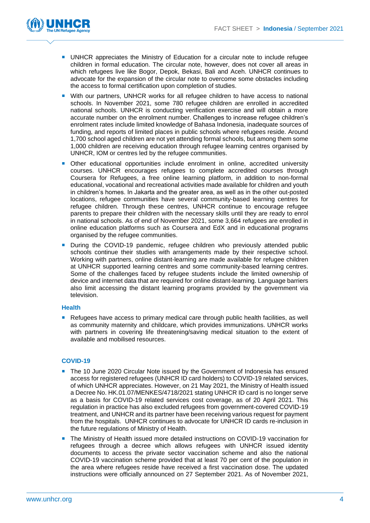

- **UNHCR** appreciates the Ministry of Education for a circular note to include refugee children in formal education. The circular note, however, does not cover all areas in which refugees live like Bogor, Depok, Bekasi, Bali and Aceh. UNHCR continues to advocate for the expansion of the circular note to overcome some obstacles including the access to formal certification upon completion of studies.
- With our partners, UNHCR works for all refugee children to have access to national schools. In November 2021, some 780 refugee children are enrolled in accredited national schools. UNHCR is conducting verification exercise and will obtain a more accurate number on the enrolment number. Challenges to increase refugee children's enrolment rates include limited knowledge of Bahasa Indonesia, inadequate sources of funding, and reports of limited places in public schools where refugees reside. Around 1,700 school aged children are not yet attending formal schools, but among them some 1,000 children are receiving education through refugee learning centres organised by UNHCR, IOM or centres led by the refugee communities.
- Other educational opportunities include enrolment in online, accredited university courses. UNHCR encourages refugees to complete accredited courses through Coursera for Refugees, a free online learning platform, in addition to non-formal educational, vocational and recreational activities made available for children and youth in children's homes. In Jakarta and the greater area, as well as in the other out-posted locations, refugee communities have several community-based learning centres for refugee children. Through these centres, UNHCR continue to encourage refugee parents to prepare their children with the necessary skills until they are ready to enrol in national schools. As of end of November 2021, some 3,664 refugees are enrolled in online education platforms such as Coursera and EdX and in educational programs organised by the refugee communities.
- **During the COVID-19 pandemic, refugee children who previously attended public** schools continue their studies with arrangements made by their respective school. Working with partners, online distant-learning are made available for refugee children at UNHCR supported learning centres and some community-based learning centres. Some of the challenges faced by refugee students include the limited ownership of device and internet data that are required for online distant-learning. Language barriers also limit accessing the distant learning programs provided by the government via television.

#### **Health**

Refugees have access to primary medical care through public health facilities, as well as community maternity and childcare, which provides immunizations. UNHCR works with partners in covering life threatening/saving medical situation to the extent of available and mobilised resources.

#### **COVID-19**

- The 10 June 2020 Circular Note issued by the Government of Indonesia has ensured access for registered refugees (UNHCR ID card holders) to COVID-19 related services, of which UNHCR appreciates. However, on 21 May 2021, the Ministry of Health issued a Decree No. HK.01.07/MENKES/4718/2021 stating UNHCR ID card is no longer serve as a basis for COVID-19 related services cost coverage, as of 20 April 2021. This regulation in practice has also excluded refugees from government-covered COVID-19 treatment, and UNHCR and its partner have been receiving various request for payment from the hospitals. UNHCR continues to advocate for UNHCR ID cards re-inclusion in the future regulations of Ministry of Health.
- The Ministry of Health issued more detailed instructions on COVID-19 vaccination for refugees through a decree which allows refugees with UNHCR issued identity documents to access the private sector vaccination scheme and also the national COVID-19 vaccination scheme provided that at least 70 per cent of the population in the area where refugees reside have received a first vaccination dose. The updated instructions were officially announced on 27 September 2021. As of November 2021,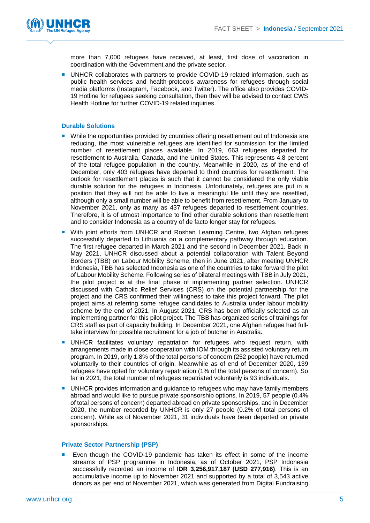

more than 7,000 refugees have received, at least, first dose of vaccination in coordination with the Government and the private sector.

**UNHCR collaborates with partners to provide COVID-19 related information, such as** public health services and health-protocols awareness for refugees through social media platforms (Instagram, Facebook, and Twitter). The office also provides COVID-19 Hotline for refugees seeking consultation, then they will be advised to contact CWS Health Hotline for further COVID-19 related inquiries.

#### **Durable Solutions**

- While the opportunities provided by countries offering resettlement out of Indonesia are reducing, the most vulnerable refugees are identified for submission for the limited number of resettlement places available. In 2019, 663 refugees departed for resettlement to Australia, Canada, and the United States. This represents 4.8 percent of the total refugee population in the country. Meanwhile in 2020, as of the end of December, only 403 refugees have departed to third countries for resettlement. The outlook for resettlement places is such that it cannot be considered the only viable durable solution for the refugees in Indonesia. Unfortunately, refugees are put in a position that they will not be able to live a meaningful life until they are resettled, although only a small number will be able to benefit from resettlement. From January to November 2021, only as many as 437 refugees departed to resettlement countries. Therefore, it is of utmost importance to find other durable solutions than resettlement and to consider Indonesia as a country of de facto longer stay for refugees.
- **With joint efforts from UNHCR and Roshan Learning Centre, two Afghan refugees** successfully departed to Lithuania on a complementary pathway through education. The first refugee departed in March 2021 and the second in December 2021. Back in May 2021, UNHCR discussed about a potential collaboration with Talent Beyond Borders (TBB) on Labour Mobility Scheme, then in June 2021, after meeting UNHCR Indonesia, TBB has selected Indonesia as one of the countries to take forward the pilot of Labour Mobility Scheme. Following series of bilateral meetings with TBB in July 2021, the pilot project is at the final phase of implementing partner selection. UNHCR discussed with Catholic Relief Services (CRS) on the potential partnership for the project and the CRS confirmed their willingness to take this project forward. The pilot project aims at referring some refugee candidates to Australia under labour mobility scheme by the end of 2021. In August 2021, CRS has been officially selected as an implementing partner for this pilot project. The TBB has organized series of trainings for CRS staff as part of capacity building. In December 2021, one Afghan refugee had fulltake interview for possible recruitment for a job of butcher in Australia.
- **UNHCR** facilitates voluntary repatriation for refugees who request return, with arrangements made in close cooperation with IOM through its assisted voluntary return program. In 2019, only 1.8% of the total persons of concern (252 people) have returned voluntarily to their countries of origin. Meanwhile as of end of December 2020, 139 refugees have opted for voluntary repatriation (1% of the total persons of concern). So far in 2021, the total number of refugees repatriated voluntarily is 93 individuals.
- **UNHCR** provides information and guidance to refugees who may have family members abroad and would like to pursue private sponsorship options. In 2019, 57 people (0.4% of total persons of concern) departed abroad on private sponsorships, and in December 2020, the number recorded by UNHCR is only 27 people (0.2% of total persons of concern). While as of November 2021, 31 individuals have been departed on private sponsorships.

#### **Private Sector Partnership (PSP)**

 Even though the COVID-19 pandemic has taken its effect in some of the income streams of PSP programme in Indonesia, as of October 2021, PSP Indonesia successfully recorded an income of **IDR 3,256,917,187 (USD 277,916)**. This is an accumulative income up to November 2021 and supported by a total of 3,543 active donors as per end of November 2021, which was generated from Digital Fundraising